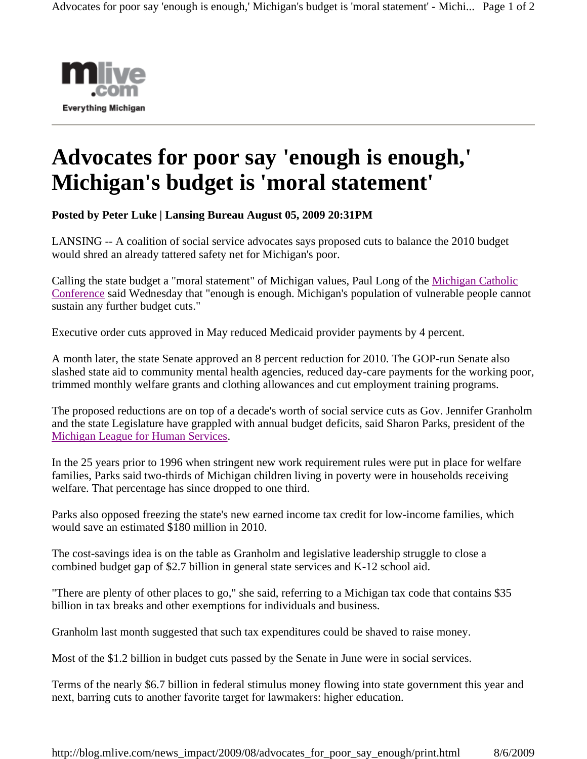

## **Advocates for poor say 'enough is enough,' Michigan's budget is 'moral statement'**

**Posted by Peter Luke | Lansing Bureau August 05, 2009 20:31PM** 

LANSING -- A coalition of social service advocates says proposed cuts to balance the 2010 budget would shred an already tattered safety net for Michigan's poor.

Calling the state budget a "moral statement" of Michigan values, Paul Long of the Michigan Catholic Conference said Wednesday that "enough is enough. Michigan's population of vulnerable people cannot sustain any further budget cuts."

Executive order cuts approved in May reduced Medicaid provider payments by 4 percent.

A month later, the state Senate approved an 8 percent reduction for 2010. The GOP-run Senate also slashed state aid to community mental health agencies, reduced day-care payments for the working poor, trimmed monthly welfare grants and clothing allowances and cut employment training programs.

The proposed reductions are on top of a decade's worth of social service cuts as Gov. Jennifer Granholm and the state Legislature have grappled with annual budget deficits, said Sharon Parks, president of the Michigan League for Human Services.

In the 25 years prior to 1996 when stringent new work requirement rules were put in place for welfare families, Parks said two-thirds of Michigan children living in poverty were in households receiving welfare. That percentage has since dropped to one third.

Parks also opposed freezing the state's new earned income tax credit for low-income families, which would save an estimated \$180 million in 2010.

The cost-savings idea is on the table as Granholm and legislative leadership struggle to close a combined budget gap of \$2.7 billion in general state services and K-12 school aid.

"There are plenty of other places to go," she said, referring to a Michigan tax code that contains \$35 billion in tax breaks and other exemptions for individuals and business.

Granholm last month suggested that such tax expenditures could be shaved to raise money.

Most of the \$1.2 billion in budget cuts passed by the Senate in June were in social services.

Terms of the nearly \$6.7 billion in federal stimulus money flowing into state government this year and next, barring cuts to another favorite target for lawmakers: higher education.